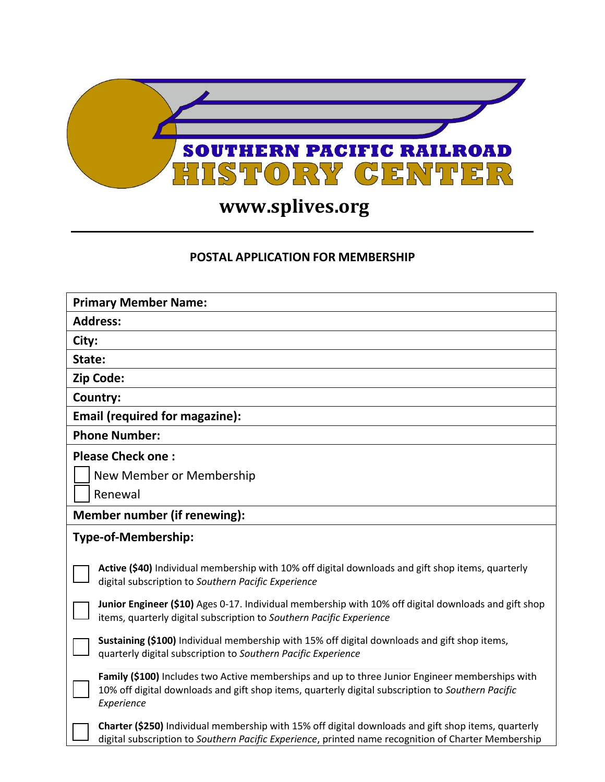

## **www.splives.org**

## **POSTAL APPLICATION FOR MEMBERSHIP**

| <b>Primary Member Name:</b>                                                                                                                                                                                        |  |  |  |
|--------------------------------------------------------------------------------------------------------------------------------------------------------------------------------------------------------------------|--|--|--|
| <b>Address:</b>                                                                                                                                                                                                    |  |  |  |
| City:                                                                                                                                                                                                              |  |  |  |
| State:                                                                                                                                                                                                             |  |  |  |
| Zip Code:                                                                                                                                                                                                          |  |  |  |
| <b>Country:</b>                                                                                                                                                                                                    |  |  |  |
| <b>Email (required for magazine):</b>                                                                                                                                                                              |  |  |  |
| <b>Phone Number:</b>                                                                                                                                                                                               |  |  |  |
| <b>Please Check one:</b>                                                                                                                                                                                           |  |  |  |
| New Member or Membership                                                                                                                                                                                           |  |  |  |
| Renewal                                                                                                                                                                                                            |  |  |  |
| Member number (if renewing):                                                                                                                                                                                       |  |  |  |
| Type-of-Membership:                                                                                                                                                                                                |  |  |  |
| Active (\$40) Individual membership with 10% off digital downloads and gift shop items, quarterly<br>digital subscription to Southern Pacific Experience                                                           |  |  |  |
| Junior Engineer (\$10) Ages 0-17. Individual membership with 10% off digital downloads and gift shop<br>items, quarterly digital subscription to Southern Pacific Experience                                       |  |  |  |
| Sustaining (\$100) Individual membership with 15% off digital downloads and gift shop items,<br>quarterly digital subscription to Southern Pacific Experience                                                      |  |  |  |
| Family (\$100) Includes two Active memberships and up to three Junior Engineer memberships with<br>10% off digital downloads and gift shop items, quarterly digital subscription to Southern Pacific<br>Experience |  |  |  |
| Charter (\$250) Individual membership with 15% off digital downloads and gift shop items, quarterly<br>digital subscription to Southern Pacific Experience, printed name recognition of Charter Membership         |  |  |  |